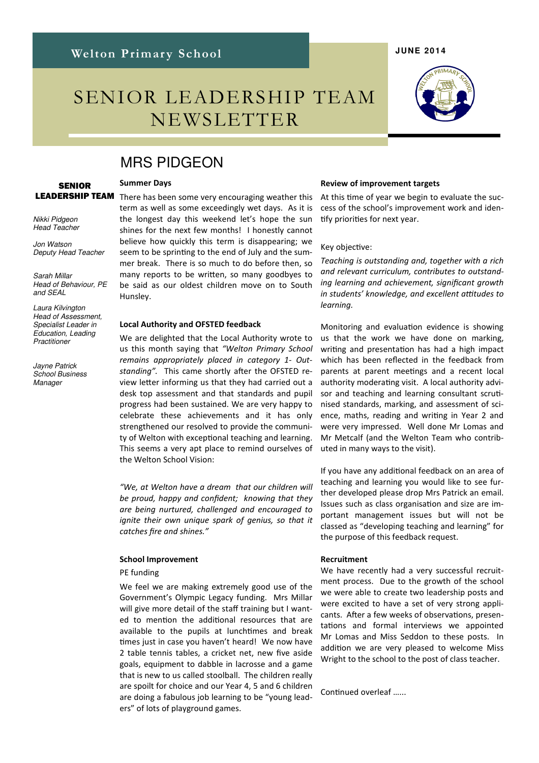# SENIOR LEADERSHIP TEAM NEWSLETTER

#### Review of improvement targets

At this time of year we begin to evaluate the success of the school's improvement work and iden tify priorities for next year.

#### Key objective:

Teaching is outstanding and, together with a rich and relevant curriculum, contributes to outstanding learning and achievement, significant growth in students' knowledge, and excellent attitudes to learning.

Monitoring and evaluation evidence is showing us that the work we have done on marking, writing and presentation has had a high impact which has been reflected in the feedback from parents at parent meetings and a recent local authority moderating visit. A local authority advisor and teaching and learning consultant scrutinised standards, marking, and assessment of science, maths, reading and writing in Year 2 and were very impressed. Well done Mr Lomas and Mr Metcalf (and the Welton Team who contributed in many ways to the visit).

If you have any additional feedback on an area of teaching and learning you would like to see further developed please drop Mrs Patrick an email. Issues such as class organisation and size are important management issues but will not be classed as "developing teaching and learning" for the purpose of this feedback request.

#### Recruitment

We have recently had a very successful recruitment process. Due to the growth of the school we were able to create two leadership posts and were excited to have a set of very strong applicants. After a few weeks of observations, presentations and formal interviews we appointed Mr Lomas and Miss Seddon to these posts. In addition we are very pleased to welcome Miss Wright to the school to the post of class teacher.

Continued overleaf ......

# MRS PIDGEON

#### Summer Days

LEADERSHIP TEAM Nikki Pidgeon

**SENIOR** 

Head Teacher

Jon Watson Deputy Head Teacher

Sarah Millar Head of Behaviour, PE and SEAL

Laura Kilvington Head of Assessment, Specialist Leader in Education, Leading **Practitioner** 

Jayne Patrick School Business **Manager** 

There has been some very encouraging weather this term as well as some exceedingly wet days. As it is the longest day this weekend let's hope the sun shines for the next few months! I honestly cannot believe how quickly this term is disappearing; we seem to be sprinting to the end of July and the summer break. There is so much to do before then, so many reports to be written, so many goodbyes to be said as our oldest children move on to South Hunsley.

#### Local Authority and OFSTED feedback

We are delighted that the Local Authority wrote to us this month saying that "Welton Primary School remains appropriately placed in category 1- Outstanding". This came shortly after the OFSTED review letter informing us that they had carried out a desk top assessment and that standards and pupil progress had been sustained. We are very happy to celebrate these achievements and it has only strengthened our resolved to provide the community of Welton with exceptional teaching and learning. This seems a very apt place to remind ourselves of the Welton School Vision:

"We, at Welton have a dream that our children will be proud, happy and confident; knowing that they are being nurtured, challenged and encouraged to ignite their own unique spark of genius, so that it catches fire and shines."

#### School Improvement

#### PE funding

We feel we are making extremely good use of the Government's Olympic Legacy funding. Mrs Millar will give more detail of the staff training but I wanted to mention the additional resources that are available to the pupils at lunchtimes and break times just in case you haven't heard! We now have 2 table tennis tables, a cricket net, new five aside goals, equipment to dabble in lacrosse and a game that is new to us called stoolball. The children really are spoilt for choice and our Year 4, 5 and 6 children are doing a fabulous job learning to be "young leaders" of lots of playground games.

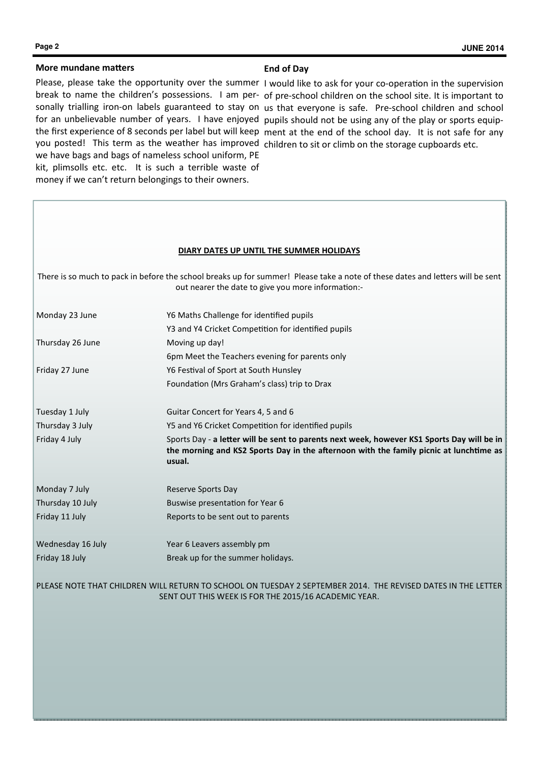#### More mundane matters

#### End of Day

Please, please take the opportunity over the summer I would like to ask for your co-operation in the supervision you posted! This term as the weather has improved children to sit or climb on the storage cupboards etc. we have bags and bags of nameless school uniform, PE kit, plimsolls etc. etc. It is such a terrible waste of money if we can't return belongings to their owners.

break to name the children's possessions. I am per- of pre-school children on the school site. It is important to sonally trialling iron-on labels guaranteed to stay on us that everyone is safe. Pre-school children and school for an unbelievable number of years. I have enjoyed pupils should not be using any of the play or sports equipthe first experience of 8 seconds per label but will keep ment at the end of the school day. It is not safe for any

| DIARY DATES UP UNTIL THE SUMMER HOLIDAYS                                                                                                                                             |                                                                                                                                                                                                |
|--------------------------------------------------------------------------------------------------------------------------------------------------------------------------------------|------------------------------------------------------------------------------------------------------------------------------------------------------------------------------------------------|
| There is so much to pack in before the school breaks up for summer! Please take a note of these dates and letters will be sent<br>out nearer the date to give you more information:- |                                                                                                                                                                                                |
| Monday 23 June                                                                                                                                                                       | Y6 Maths Challenge for identified pupils                                                                                                                                                       |
|                                                                                                                                                                                      | Y3 and Y4 Cricket Competition for identified pupils                                                                                                                                            |
| Thursday 26 June                                                                                                                                                                     | Moving up day!                                                                                                                                                                                 |
|                                                                                                                                                                                      | 6pm Meet the Teachers evening for parents only                                                                                                                                                 |
| Friday 27 June                                                                                                                                                                       | Y6 Festival of Sport at South Hunsley                                                                                                                                                          |
|                                                                                                                                                                                      | Foundation (Mrs Graham's class) trip to Drax                                                                                                                                                   |
| Tuesday 1 July                                                                                                                                                                       | Guitar Concert for Years 4, 5 and 6                                                                                                                                                            |
| Thursday 3 July                                                                                                                                                                      | Y5 and Y6 Cricket Competition for identified pupils                                                                                                                                            |
| Friday 4 July                                                                                                                                                                        | Sports Day - a letter will be sent to parents next week, however KS1 Sports Day will be in<br>the morning and KS2 Sports Day in the afternoon with the family picnic at lunchtime as<br>usual. |
| Monday 7 July                                                                                                                                                                        | Reserve Sports Day                                                                                                                                                                             |
| Thursday 10 July                                                                                                                                                                     | Buswise presentation for Year 6                                                                                                                                                                |
| Friday 11 July                                                                                                                                                                       | Reports to be sent out to parents                                                                                                                                                              |
| Wednesday 16 July                                                                                                                                                                    | Year 6 Leavers assembly pm                                                                                                                                                                     |
| Friday 18 July                                                                                                                                                                       | Break up for the summer holidays.                                                                                                                                                              |
| PLEASE NOTE THAT CHILDREN WILL RETURN TO SCHOOL ON TUESDAY 2 SEPTEMBER 2014. THE REVISED DATES IN THE LETTER<br>SENT OUT THIS WEEK IS FOR THE 2015/16 ACADEMIC YEAR.                 |                                                                                                                                                                                                |

k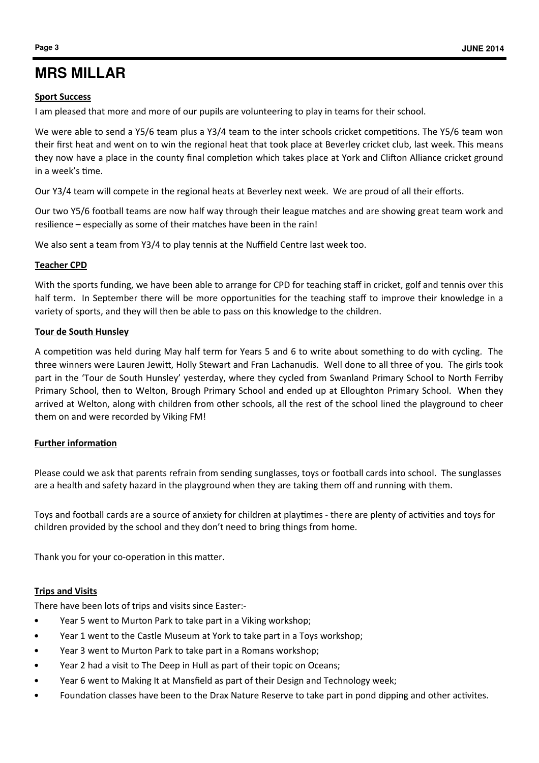## Sport Success

I am pleased that more and more of our pupils are volunteering to play in teams for their school.

We were able to send a Y5/6 team plus a Y3/4 team to the inter schools cricket competitions. The Y5/6 team won their first heat and went on to win the regional heat that took place at Beverley cricket club, last week. This means they now have a place in the county final completion which takes place at York and Clifton Alliance cricket ground in a week's time.

Our Y3/4 team will compete in the regional heats at Beverley next week. We are proud of all their efforts.

Our two Y5/6 football teams are now half way through their league matches and are showing great team work and resilience – especially as some of their matches have been in the rain!

We also sent a team from Y3/4 to play tennis at the Nuffield Centre last week too.

## Teacher CPD

With the sports funding, we have been able to arrange for CPD for teaching staff in cricket, golf and tennis over this half term. In September there will be more opportunities for the teaching staff to improve their knowledge in a variety of sports, and they will then be able to pass on this knowledge to the children.

## Tour de South Hunsley

A competition was held during May half term for Years 5 and 6 to write about something to do with cycling. The three winners were Lauren Jewitt, Holly Stewart and Fran Lachanudis. Well done to all three of you. The girls took part in the 'Tour de South Hunsley' yesterday, where they cycled from Swanland Primary School to North Ferriby Primary School, then to Welton, Brough Primary School and ended up at Elloughton Primary School. When they arrived at Welton, along with children from other schools, all the rest of the school lined the playground to cheer them on and were recorded by Viking FM!

## Further information

Please could we ask that parents refrain from sending sunglasses, toys or football cards into school. The sunglasses are a health and safety hazard in the playground when they are taking them off and running with them.

Toys and football cards are a source of anxiety for children at playtimes - there are plenty of activities and toys for children provided by the school and they don't need to bring things from home.

Thank you for your co-operation in this matter.

## Trips and Visits

There have been lots of trips and visits since Easter:-

- Year 5 went to Murton Park to take part in a Viking workshop;
- Year 1 went to the Castle Museum at York to take part in a Toys workshop;
- Year 3 went to Murton Park to take part in a Romans workshop;
- Year 2 had a visit to The Deep in Hull as part of their topic on Oceans;
- Year 6 went to Making It at Mansfield as part of their Design and Technology week;
- Foundation classes have been to the Drax Nature Reserve to take part in pond dipping and other activites.